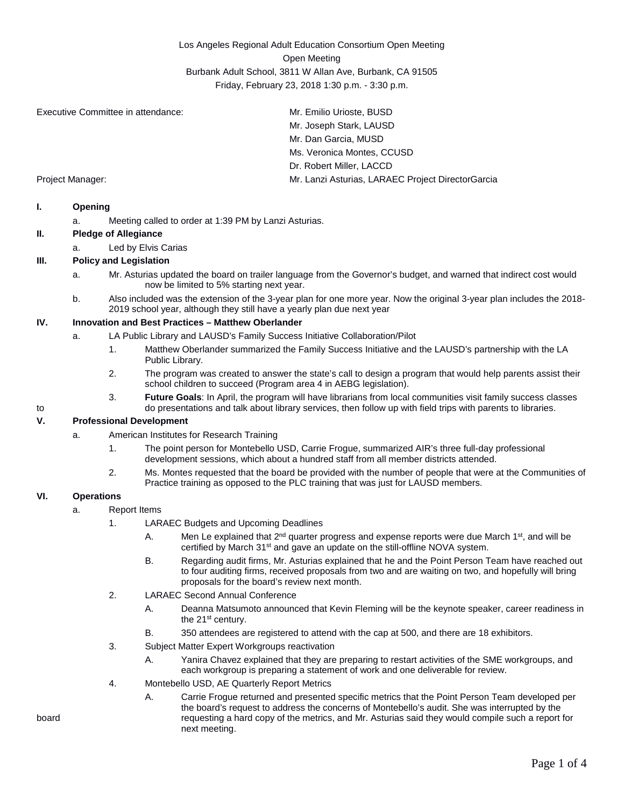Los Angeles Regional Adult Education Consortium Open Meeting Open Meeting Burbank Adult School, 3811 W Allan Ave, Burbank, CA 91505 Friday, February 23, 2018 1:30 p.m. - 3:30 p.m.

Executive Committee in attendance: Mr. Emilio Urioste, BUSD

Mr. Joseph Stark, LAUSD Mr. Dan Garcia, MUSD Ms. Veronica Montes, CCUSD Dr. Robert Miller, LACCD Project Manager: Mr. Lanzi Asturias, LARAEC Project DirectorGarcia

#### **I. Opening**

a. Meeting called to order at 1:39 PM by Lanzi Asturias.

### **II. Pledge of Allegiance**

a. Led by Elvis Carias

### **III. Policy and Legislation**

- a. Mr. Asturias updated the board on trailer language from the Governor's budget, and warned that indirect cost would now be limited to 5% starting next year.
- b. Also included was the extension of the 3-year plan for one more year. Now the original 3-year plan includes the 2018- 2019 school year, although they still have a yearly plan due next year

#### **IV. Innovation and Best Practices – Matthew Oberlander**

- a. LA Public Library and LAUSD's Family Success Initiative Collaboration/Pilot
	- 1. Matthew Oberlander summarized the Family Success Initiative and the LAUSD's partnership with the LA Public Library.
	- 2. The program was created to answer the state's call to design a program that would help parents assist their school children to succeed (Program area 4 in AEBG legislation).
- 3. **Future Goals**: In April, the program will have librarians from local communities visit family success classes to do presentations and talk about library services, then follow up with field trips with parents to libraries.

# **V. Professional Development**

- a. American Institutes for Research Training
	- 1. The point person for Montebello USD, Carrie Frogue, summarized AIR's three full-day professional development sessions, which about a hundred staff from all member districts attended.
	- 2. Ms. Montes requested that the board be provided with the number of people that were at the Communities of Practice training as opposed to the PLC training that was just for LAUSD members.

#### **VI. Operations**

- a. Report Items
	- 1. LARAEC Budgets and Upcoming Deadlines
		- A. Men Le explained that  $2^{nd}$  quarter progress and expense reports were due March 1<sup>st</sup>, and will be certified by March 31<sup>st</sup> and gave an update on the still-offline NOVA system.
		- B. Regarding audit firms, Mr. Asturias explained that he and the Point Person Team have reached out to four auditing firms, received proposals from two and are waiting on two, and hopefully will bring proposals for the board's review next month.
	- 2. LARAEC Second Annual Conference
		- A. Deanna Matsumoto announced that Kevin Fleming will be the keynote speaker, career readiness in the 21<sup>st</sup> century.
		- B. 350 attendees are registered to attend with the cap at 500, and there are 18 exhibitors.
	- 3. Subject Matter Expert Workgroups reactivation
		- A. Yanira Chavez explained that they are preparing to restart activities of the SME workgroups, and each workgroup is preparing a statement of work and one deliverable for review.
	- 4. Montebello USD, AE Quarterly Report Metrics
- A. Carrie Frogue returned and presented specific metrics that the Point Person Team developed per the board's request to address the concerns of Montebello's audit. She was interrupted by the board requesting a hard copy of the metrics, and Mr. Asturias said they would compile such a report for next meeting.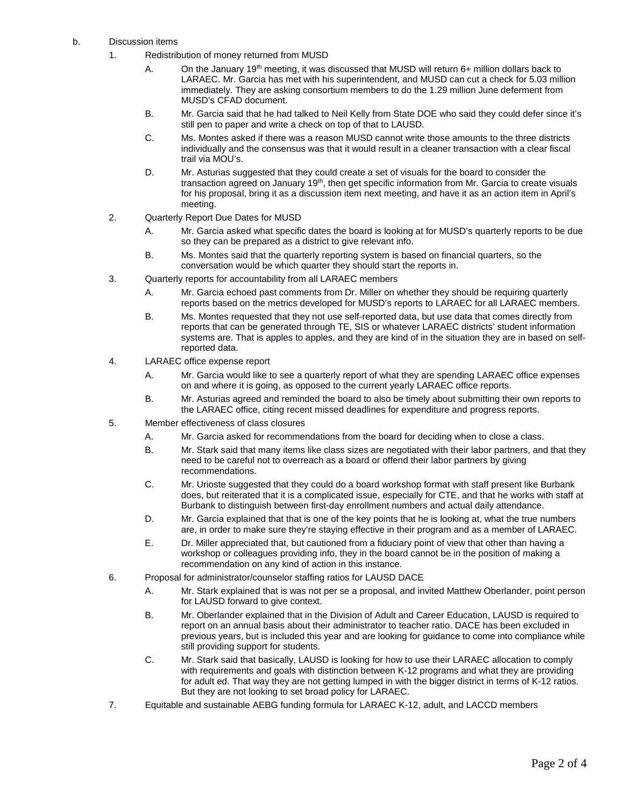- b. Discussion items
	- 1. Redistribution of money returned from MUSD
		- A. On the January 19<sup>th</sup> meeting, it was discussed that MUSD will return 6+ million dollars back to LARAEC. Mr. Garcia has met with his superintendent, and MUSD can cut a check for 5.03 million immediately. They are asking consortium members to do the 1.29 million June deferment from MUSD's CFAD document.
		- B. Mr. Garcia said that he had talked to Neil Kelly from State DOE who said they could defer since it's still pen to paper and write a check on top of that to LAUSD.
		- C. Ms. Montes asked if there was a reason MUSD cannot write those amounts to the three districts individually and the consensus was that it would result in a cleaner transaction with a clear fiscal trail via MOU's.
		- D. Mr. Asturias suggested that they could create a set of visuals for the board to consider the transaction agreed on January 19<sup>th</sup>, then get specific information from Mr. Garcia to create visuals for his proposal, bring it as a discussion item next meeting, and have it as an action item in April's meeting.
	- 2. Quarterly Report Due Dates for MUSD
		- A. Mr. Garcia asked what specific dates the board is looking at for MUSD's quarterly reports to be due so they can be prepared as a district to give relevant info.
		- B. Ms. Montes said that the quarterly reporting system is based on financial quarters, so the conversation would be which quarter they should start the reports in.
	- 3. Quarterly reports for accountability from all LARAEC members
		- A. Mr. Garcia echoed past comments from Dr. Miller on whether they should be requiring quarterly reports based on the metrics developed for MUSD's reports to LARAEC for all LARAEC members.
		- B. Ms. Montes requested that they not use self-reported data, but use data that comes directly from reports that can be generated through TE, SIS or whatever LARAEC districts' student information systems are. That is apples to apples, and they are kind of in the situation they are in based on selfreported data.
	- 4. LARAEC office expense report
		- A. Mr. Garcia would like to see a quarterly report of what they are spending LARAEC office expenses on and where it is going, as opposed to the current yearly LARAEC office reports.
		- B. Mr. Asturias agreed and reminded the board to also be timely about submitting their own reports to the LARAEC office, citing recent missed deadlines for expenditure and progress reports.
	- 5. Member effectiveness of class closures
		- A. Mr. Garcia asked for recommendations from the board for deciding when to close a class.
		- B. Mr. Stark said that many items like class sizes are negotiated with their labor partners, and that they need to be careful not to overreach as a board or offend their labor partners by giving recommendations.
		- C. Mr. Urioste suggested that they could do a board workshop format with staff present like Burbank does, but reiterated that it is a complicated issue, especially for CTE, and that he works with staff at Burbank to distinguish between first-day enrollment numbers and actual daily attendance.
		- D. Mr. Garcia explained that that is one of the key points that he is looking at, what the true numbers are, in order to make sure they're staying effective in their program and as a member of LARAEC.
		- E. Dr. Miller appreciated that, but cautioned from a fiduciary point of view that other than having a workshop or colleagues providing info, they in the board cannot be in the position of making a recommendation on any kind of action in this instance.
	- 6. Proposal for administrator/counselor staffing ratios for LAUSD DACE
		- A. Mr. Stark explained that is was not per se a proposal, and invited Matthew Oberlander, point person for LAUSD forward to give context.
		- B. Mr. Oberlander explained that in the Division of Adult and Career Education, LAUSD is required to report on an annual basis about their administrator to teacher ratio. DACE has been excluded in previous years, but is included this year and are looking for guidance to come into compliance while still providing support for students.
		- C. Mr. Stark said that basically, LAUSD is looking for how to use their LARAEC allocation to comply with requirements and goals with distinction between K-12 programs and what they are providing for adult ed. That way they are not getting lumped in with the bigger district in terms of K-12 ratios. But they are not looking to set broad policy for LARAEC.
	- 7. Equitable and sustainable AEBG funding formula for LARAEC K-12, adult, and LACCD members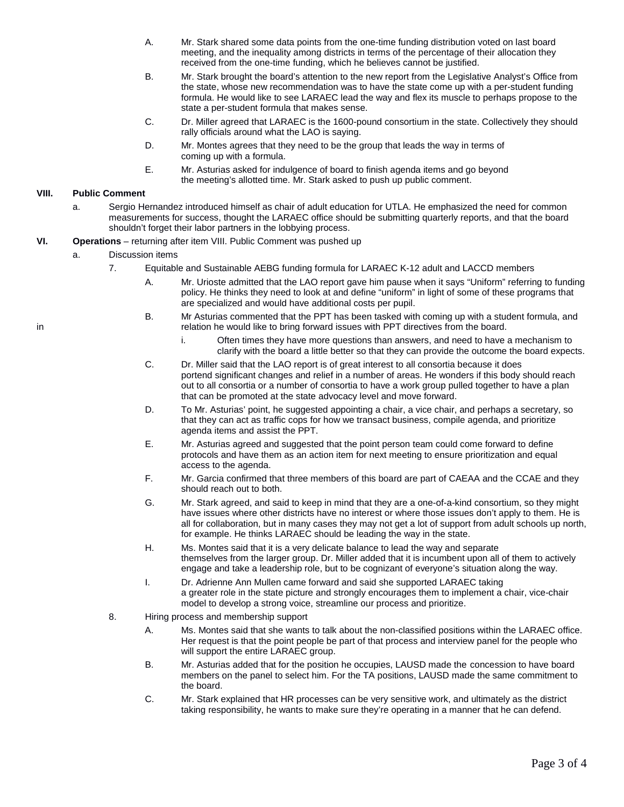- A. Mr. Stark shared some data points from the one-time funding distribution voted on last board meeting, and the inequality among districts in terms of the percentage of their allocation they received from the one-time funding, which he believes cannot be justified.
- B. Mr. Stark brought the board's attention to the new report from the Legislative Analyst's Office from the state, whose new recommendation was to have the state come up with a per-student funding formula. He would like to see LARAEC lead the way and flex its muscle to perhaps propose to the state a per-student formula that makes sense.
- C. Dr. Miller agreed that LARAEC is the 1600-pound consortium in the state. Collectively they should rally officials around what the LAO is saying.
- D. Mr. Montes agrees that they need to be the group that leads the way in terms of coming up with a formula.
- E. Mr. Asturias asked for indulgence of board to finish agenda items and go beyond the meeting's allotted time. Mr. Stark asked to push up public comment.

# **VIII. Public Comment**

a. Sergio Hernandez introduced himself as chair of adult education for UTLA. He emphasized the need for common measurements for success, thought the LARAEC office should be submitting quarterly reports, and that the board shouldn't forget their labor partners in the lobbying process.

## **VI. Operations** – returning after item VIII. Public Comment was pushed up

- a. Discussion items
	- 7. Equitable and Sustainable AEBG funding formula for LARAEC K-12 adult and LACCD members
		- A. Mr. Urioste admitted that the LAO report gave him pause when it says "Uniform" referring to funding policy. He thinks they need to look at and define "uniform" in light of some of these programs that are specialized and would have additional costs per pupil.
- B. Mr Asturias commented that the PPT has been tasked with coming up with a student formula, and in **relation he would like to bring forward issues with PPT directives from the board.** 
	- i. Often times they have more questions than answers, and need to have a mechanism to clarify with the board a little better so that they can provide the outcome the board expects.
	- C. Dr. Miller said that the LAO report is of great interest to all consortia because it does portend significant changes and relief in a number of areas. He wonders if this body should reach out to all consortia or a number of consortia to have a work group pulled together to have a plan that can be promoted at the state advocacy level and move forward.
	- D. To Mr. Asturias' point, he suggested appointing a chair, a vice chair, and perhaps a secretary, so that they can act as traffic cops for how we transact business, compile agenda, and prioritize agenda items and assist the PPT.
	- E. Mr. Asturias agreed and suggested that the point person team could come forward to define protocols and have them as an action item for next meeting to ensure prioritization and equal access to the agenda.
	- F. Mr. Garcia confirmed that three members of this board are part of CAEAA and the CCAE and they should reach out to both.
	- G. Mr. Stark agreed, and said to keep in mind that they are a one-of-a-kind consortium, so they might have issues where other districts have no interest or where those issues don't apply to them. He is all for collaboration, but in many cases they may not get a lot of support from adult schools up north, for example. He thinks LARAEC should be leading the way in the state.
	- H. Ms. Montes said that it is a very delicate balance to lead the way and separate themselves from the larger group. Dr. Miller added that it is incumbent upon all of them to actively engage and take a leadership role, but to be cognizant of everyone's situation along the way.
	- I. Dr. Adrienne Ann Mullen came forward and said she supported LARAEC taking a greater role in the state picture and strongly encourages them to implement a chair, vice-chair model to develop a strong voice, streamline our process and prioritize.
	- 8. Hiring process and membership support
		- A. Ms. Montes said that she wants to talk about the non-classified positions within the LARAEC office. Her request is that the point people be part of that process and interview panel for the people who will support the entire LARAEC group.
		- B. Mr. Asturias added that for the position he occupies, LAUSD made the concession to have board members on the panel to select him. For the TA positions, LAUSD made the same commitment to the board.
		- C. Mr. Stark explained that HR processes can be very sensitive work, and ultimately as the district taking responsibility, he wants to make sure they're operating in a manner that he can defend.